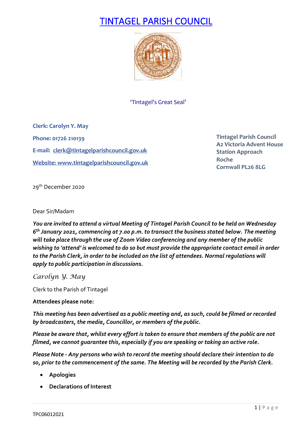# TINTAGEL PARISH COUNCIL



'Tintagel's Great Seal'

**Clerk: Carolyn Y. May Phone: 01726 210139 E-mail: [clerk@tintagelparishcouncil.gov.uk](mailto:clerk@tintagelparishcouncil.gov.uk) Website: [www.tintagelparishcouncil.gov.uk](http://www.tintagelparishcouncil.gov.uk/)**

**Tintagel Parish Council A2 Victoria Advent House Station Approach Roche Cornwall PL26 8LG**

29<sup>th</sup> December 2020

## Dear Sir/Madam

*You are invited to attend a virtual Meeting of Tintagel Parish Council to be held on Wednesday 6 th January 2021, commencing at 7.00 p.m. to transact the business stated below. The meeting will take place through the use of Zoom Video conferencing and any member of the public wishing to 'attend' is welcomed to do so but must provide the appropriate contact email in order to the Parish Clerk, in order to be included on the list of attendees. Normal regulations will apply to public participation in discussions.*

*Carolyn Y. May*

Clerk to the Parish of Tintagel

## **Attendees please note:**

*This meeting has been advertised as a public meeting and, as such, could be filmed or recorded by broadcasters, the media, Councillor, or members of the public.*

*Please be aware that, whilst every effort is taken to ensure that members of the public are not filmed, we cannot guarantee this, especially if you are speaking or taking an active role.*

*Please Note - Any persons who wish to record the meeting should declare their intention to do so, prior to the commencement of the same. The Meeting will be recorded by the Parish Clerk.*

- **Apologies**
- **Declarations of Interest**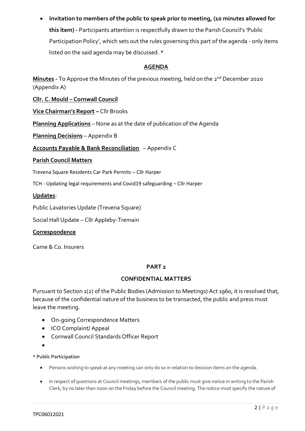• **Invitation to members of the public to speak prior to meeting, (10 minutes allowed for this item) -** Participants attention is respectfully drawn to the Parish Council's 'Public Participation Policy', which sets out the rules governing this part of the agenda - only items listed on the said agenda may be discussed. \*

## **AGENDA**

**Minutes -** To Approve the Minutes of the previous meeting, held on the 2 nd December 2020 (Appendix A)

**Cllr. C. Mould – Cornwall Council**

**Vice Chairman's Report –** Cllr Brooks

**Planning Applications** – None as at the date of publication of the Agenda

**Planning Decisions** – Appendix B

**Accounts Payable & Bank Reconciliation** – Appendix C

## **Parish Council Matters**

Trevena Square Residents Car Park Permits – Cllr Harper

TCH - Updating legal requirements and Covid19 safeguarding – Cllr Harper

## **Updates**:

Public Lavatories Update (Trevena Square)

Social Hall Update – Cllr Appleby-Tremain

## **Correspondence**

Came & Co. Insurers

## **PART 2**

## **CONFIDENTIAL MATTERS**

Pursuant to Section 1(2) of the Public Bodies (Admission to Meetings) Act 1960, it is resolved that, because of the confidential nature of the business to be transacted, the public and press must leave the meeting.

- On-going Correspondence Matters
- ICO Complaint/ Appeal
- Cornwall Council Standards Officer Report
- •

## **\* Public Participation**

- Persons wishing to speak at any meeting can only do so in relation to decision items on the agenda.
- In respect of questions at Council meetings, members of the public must give notice in writing to the Parish Clerk, by no later than noon on the Friday before the Council meeting. The notice must specify the nature of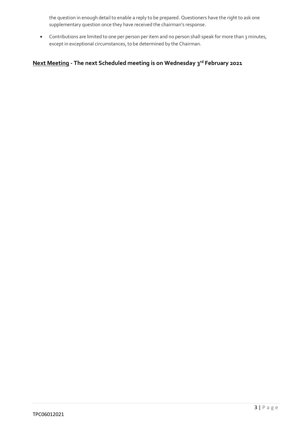the question in enough detail to enable a reply to be prepared. Questioners have the right to ask one supplementary question once they have received the chairman's response.

• Contributions are limited to one per person per item and no person shall speak for more than 3 minutes, except in exceptional circumstances, to be determined by the Chairman.

## **Next Meeting - The next Scheduled meeting is on Wednesday 3 rd February 2021**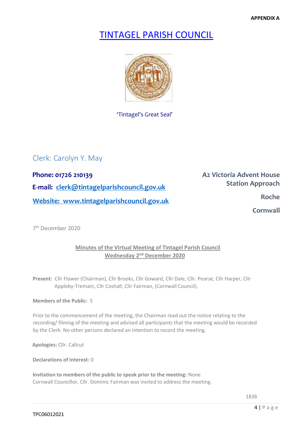**APPENDIX A**

## TINTAGEL PARISH COUNCIL



'Tintagel's Great Seal'

## Clerk: Carolyn Y. May

**Phone: 01726 210139 Phone: 01726 210139 E-mail: clerk@tintagelparishcouncil.gov.uk Website:** www.tintagelparishcouncil.gov.uk

**Station Approach** 

**Cornwall Cornwall** 

7 th December 2020

## **Minutes of the Virtual Meeting of Tintagel Parish Council Wednesday 2<sup>nd</sup> December 2020**

**Present:** Cllr Flower (Chairman), Cllr Brooks, Cllr Goward, Cllr Dale, Cllr. Pearse, Cllr Harper, Cllr Appleby-Tremain, Cllr Coshall, Cllr Fairman, (Cornwall Council).

#### **Members of the Public:** 5

Prior to the commencement of the meeting, the Chairman read out the notice relating to the recording/ filming of the meeting and advised all participants that the meeting would be recorded by the Clerk. No other persons declared an intention to record the meeting.

**Apologies:** Cllr. Callcut

**Declarations of Interest:** 0

**Invitation to members of the public to speak prior to the meeting:** None Cornwall Councillor, Cllr. Dominic Fairman was invited to address the meeting.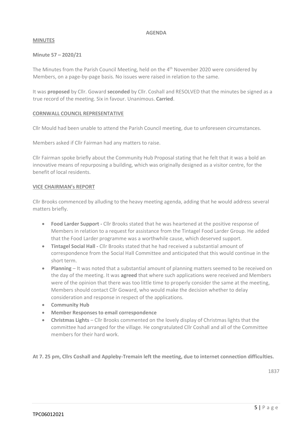#### **AGENDA**

#### **MINUTES**

#### **Minute 57 – 2020/21**

The Minutes from the Parish Council Meeting, held on the 4<sup>th</sup> November 2020 were considered by Members, on a page-by-page basis. No issues were raised in relation to the same.

It was **proposed** by Cllr. Goward **seconded** by Cllr. Coshall and RESOLVED that the minutes be signed as a true record of the meeting. Six in favour. Unanimous. **Carried**.

## **CORNWALL COUNCIL REPRESENTATIVE**

Cllr Mould had been unable to attend the Parish Council meeting, due to unforeseen circumstances.

Members asked if Cllr Fairman had any matters to raise.

Cllr Fairman spoke briefly about the Community Hub Proposal stating that he felt that it was a bold an innovative means of repurposing a building, which was originally designed as a visitor centre, for the benefit of local residents.

#### **VICE CHAIRMAN's REPORT**

Cllr Brooks commenced by alluding to the heavy meeting agenda, adding that he would address several matters briefly.

- **Food Larder Support -** Cllr Brooks stated that he was heartened at the positive response of Members in relation to a request for assistance from the Tintagel Food Larder Group. He added that the Food Larder programme was a worthwhile cause, which deserved support.
- **Tintagel Social Hall -** Cllr Brooks stated that he had received a substantial amount of correspondence from the Social Hall Committee and anticipated that this would continue in the short term.
- **Planning** It was noted that a substantial amount of planning matters seemed to be received on the day of the meeting. It was **agreed** that where such applications were received and Members were of the opinion that there was too little time to properly consider the same at the meeting, Members should contact Cllr Goward, who would make the decision whether to delay consideration and response in respect of the applications.
- **Community Hub**
- **Member Responses to email correspondence**
- **Christmas Lights** Cllr Brooks commented on the lovely display of Christmas lights that the committee had arranged for the village. He congratulated Cllr Coshall and all of the Committee members for their hard work.

**At 7. 25 pm, Cllrs Coshall and Appleby-Tremain left the meeting, due to internet connection difficulties.**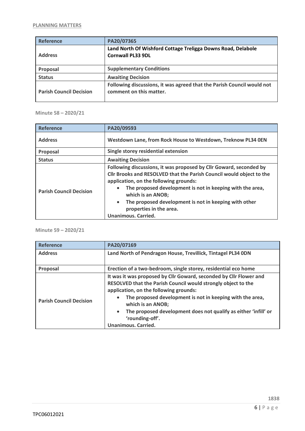| <b>Reference</b>               | PA20/07365                                                                                        |
|--------------------------------|---------------------------------------------------------------------------------------------------|
| <b>Address</b>                 | Land North Of Wishford Cottage Treligga Downs Road, Delabole<br><b>Cornwall PL33 9DL</b>          |
| Proposal                       | <b>Supplementary Conditions</b>                                                                   |
| <b>Status</b>                  | <b>Awaiting Decision</b>                                                                          |
| <b>Parish Council Decision</b> | Following discussions, it was agreed that the Parish Council would not<br>comment on this matter. |

**Minute 58 – 2020/21**

| Reference                      | PA20/09593                                                                                                                                                                                                                                                                                                                                                                                            |
|--------------------------------|-------------------------------------------------------------------------------------------------------------------------------------------------------------------------------------------------------------------------------------------------------------------------------------------------------------------------------------------------------------------------------------------------------|
| <b>Address</b>                 | Westdown Lane, from Rock House to Westdown, Treknow PL34 0EN                                                                                                                                                                                                                                                                                                                                          |
| Proposal                       | Single storey residential extension                                                                                                                                                                                                                                                                                                                                                                   |
| <b>Status</b>                  | <b>Awaiting Decision</b>                                                                                                                                                                                                                                                                                                                                                                              |
| <b>Parish Council Decision</b> | Following discussions, it was proposed by Cllr Goward, seconded by<br>Cllr Brooks and RESOLVED that the Parish Council would object to the<br>application, on the following grounds:<br>The proposed development is not in keeping with the area,<br>which is an ANOB;<br>The proposed development is not in keeping with other<br>$\bullet$<br>properties in the area.<br><b>Unanimous. Carried.</b> |

**Minute 59 – 2020/21**

| <b>Reference</b>               | PA20/07169                                                                                                                                                                                                                                                                                                                                                                                       |
|--------------------------------|--------------------------------------------------------------------------------------------------------------------------------------------------------------------------------------------------------------------------------------------------------------------------------------------------------------------------------------------------------------------------------------------------|
| <b>Address</b>                 | Land North of Pendragon House, Trevillick, Tintagel PL34 0DN                                                                                                                                                                                                                                                                                                                                     |
| Proposal                       | Erection of a two-bedroom, single storey, residential eco home                                                                                                                                                                                                                                                                                                                                   |
| <b>Parish Council Decision</b> | It was it was proposed by Cllr Goward, seconded by Cllr Flower and<br>RESOLVED that the Parish Council would strongly object to the<br>application, on the following grounds:<br>The proposed development is not in keeping with the area,<br>which is an ANOB;<br>The proposed development does not qualify as either 'infill' or<br>$\bullet$<br>'rounding-off'.<br><b>Unanimous. Carried.</b> |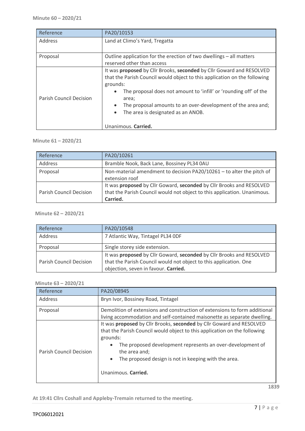| Reference                      | PA20/10153                                                                                                                                                                                                                                                                                                                                                                            |
|--------------------------------|---------------------------------------------------------------------------------------------------------------------------------------------------------------------------------------------------------------------------------------------------------------------------------------------------------------------------------------------------------------------------------------|
| Address                        | Land at Climo's Yard, Tregatta                                                                                                                                                                                                                                                                                                                                                        |
| Proposal                       | Outline application for the erection of two dwellings - all matters<br>reserved other than access                                                                                                                                                                                                                                                                                     |
| <b>Parish Council Decision</b> | It was proposed by Cllr Brooks, seconded by Cllr Goward and RESOLVED<br>that the Parish Council would object to this application on the following<br>grounds:<br>The proposal does not amount to 'infill' or 'rounding off' of the<br>area;<br>The proposal amounts to an over-development of the area and;<br>$\bullet$<br>The area is designated as an ANOB.<br>Unanimous. Carried. |

#### **Minute 61 – 2020/21**

| Reference                      | PA20/10261                                                                                                                                                   |
|--------------------------------|--------------------------------------------------------------------------------------------------------------------------------------------------------------|
| Address                        | Bramble Nook, Back Lane, Bossiney PL34 0AU                                                                                                                   |
| Proposal                       | Non-material amendment to decision PA20/10261 - to alter the pitch of<br>extension roof                                                                      |
| <b>Parish Council Decision</b> | It was proposed by Cllr Goward, seconded by Cllr Brooks and RESOLVED<br>that the Parish Council would not object to this application. Unanimous.<br>Carried. |

#### **Minute 62 – 2020/21**

| Reference                      | PA20/10548                                                                                                                                                                        |
|--------------------------------|-----------------------------------------------------------------------------------------------------------------------------------------------------------------------------------|
| Address                        | 7 Atlantic Way, Tintagel PL34 ODF                                                                                                                                                 |
| Proposal                       | Single storey side extension.                                                                                                                                                     |
| <b>Parish Council Decision</b> | It was proposed by Cllr Goward, seconded by Cllr Brooks and RESOLVED<br>that the Parish Council would not object to this application. One<br>objection, seven in favour. Carried. |

#### **Minute 63 – 2020/21**

| Reference                      | PA20/08945                                                                                                                                                                                                                                                                                                                                            |
|--------------------------------|-------------------------------------------------------------------------------------------------------------------------------------------------------------------------------------------------------------------------------------------------------------------------------------------------------------------------------------------------------|
| Address                        | Bryn Ivor, Bossiney Road, Tintagel                                                                                                                                                                                                                                                                                                                    |
| Proposal                       | Demolition of extensions and construction of extensions to form additional<br>living accommodation and self-contained maisonette as separate dwelling.                                                                                                                                                                                                |
| <b>Parish Council Decision</b> | It was proposed by Cllr Brooks, seconded by Cllr Goward and RESOLVED<br>that the Parish Council would object to this application on the following<br>grounds:<br>The proposed development represents an over-development of<br>$\bullet$<br>the area and;<br>The proposed design is not in keeping with the area.<br>$\bullet$<br>Unanimous. Carried. |

**At 19:41 Cllrs Coshall and Appleby-Tremain returned to the meeting.**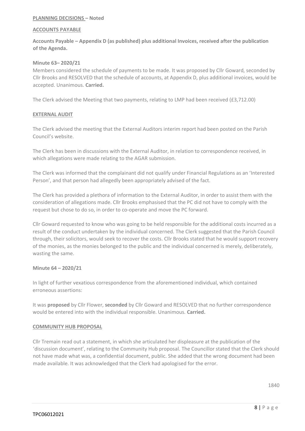#### **PLANNING DECISIONS – Noted**

#### **ACCOUNTS PAYABLE**

**Accounts Payable – Appendix D (as published) plus additional Invoices, received after the publication of the Agenda.**

#### **Minute 63– 2020/21**

Members considered the schedule of payments to be made. It was proposed by Cllr Goward, seconded by Cllr Brooks and RESOLVED that the schedule of accounts, at Appendix D, plus additional invoices, would be accepted. Unanimous. **Carried.**

The Clerk advised the Meeting that two payments, relating to LMP had been received (£3,712.00)

#### **EXTERNAL AUDIT**

The Clerk advised the meeting that the External Auditors interim report had been posted on the Parish Council's website.

The Clerk has been in discussions with the External Auditor, in relation to correspondence received, in which allegations were made relating to the AGAR submission.

The Clerk was informed that the complainant did not qualify under Financial Regulations as an 'Interested Person', and that person had allegedly been appropriately advised of the fact.

The Clerk has provided a plethora of information to the External Auditor, in order to assist them with the consideration of allegations made. Cllr Brooks emphasised that the PC did not have to comply with the request but chose to do so, in order to co-operate and move the PC forward.

Cllr Goward requested to know who was going to be held responsible for the additional costs incurred as a result of the conduct undertaken by the individual concerned. The Clerk suggested that the Parish Council through, their solicitors, would seek to recover the costs. Cllr Brooks stated that he would support recovery of the monies, as the monies belonged to the public and the individual concerned is merely, deliberately, wasting the same.

#### **Minute 64 – 2020/21**

In light of further vexatious correspondence from the aforementioned individual, which contained erroneous assertions:

It was **proposed** by Cllr Flower, **seconded** by Cllr Goward and RESOLVED that no further correspondence would be entered into with the individual responsible. Unanimous. **Carried.**

#### **COMMUNITY HUB PROPOSAL**

Cllr Tremain read out a statement, in which she articulated her displeasure at the publication of the 'discussion document', relating to the Community Hub proposal. The Councillor stated that the Clerk should not have made what was, a confidential document, public. She added that the wrong document had been made available. It was acknowledged that the Clerk had apologised for the error.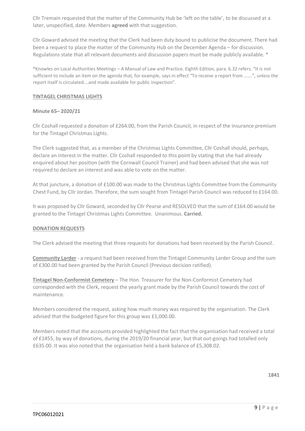Cllr Tremain requested that the matter of the Community Hub be 'left on the table', to be discussed at a later, unspecified, date. Members **agreed** with that suggestion.

Cllr Goward advised the meeting that the Clerk had been duty bound to publicise the document. There had been a request to place the matter of the Community Hub on the December Agenda – for discussion. Regulations state that all relevant documents and discussion papers must be made publicly available. \*

\*Knowles on Local Authorities Meetings – A Manual of Law and Practice. Eighth Edition, para. 6.32 refers. "It is not sufficient to include an item on the agenda that, for example, says in effect "To receive a report from …….", unless the report itself is circulated….and made available for public inspection".

#### **TINTAGEL CHRISTMAS LIGHTS**

#### **Minute 65– 2020/21**

Cllr Coshall requested a donation of £264.00, from the Parish Council, in respect of the insurance premium for the Tintagel Christmas Lights.

The Clerk suggested that, as a member of the Christmas Lights Committee, Cllr Coshall should, perhaps, declare an interest in the matter. Cllr Coshall responded to this point by stating that she had already enquired about her position (with the Cornwall Council Trainer) and had been advised that she was not required to declare an interest and was able to vote on the matter.

At that juncture, a donation of £100.00 was made to the Christmas Lights Committee from the Community Chest Fund, by Cllr Jordan. Therefore, the sum sought from Tintagel Parish Council was reduced to £164.00.

It was proposed by Cllr Goward, seconded by Cllr Pearse and RESOLVED that the sum of £164.00 would be granted to the Tintagel Christmas Lights Committee. Unanimous. **Carried.**

#### **DONATION REQUESTS**

The Clerk advised the meeting that three requests for donations had been received by the Parish Council.

**Community Larder** - a request had been received from the Tintagel Community Larder Group and the sum of £300.00 had been granted by the Parish Council (Previous decision ratified).

**Tintagel Non-Conformist Cemetery** – The Hon. Treasurer for the Non-Conformist Cemetery had corresponded with the Clerk, request the yearly grant made by the Parish Council towards the cost of maintenance.

Members considered the request, asking how much money was required by the organisation. The Clerk advised that the budgeted figure for this group was £1,000.00.

Members noted that the accounts provided highlighted the fact that the organisation had received a total of £1455, by way of donations, during the 2019/20 financial year, but that out-goings had totalled only £635.00. It was also noted that the organisation held a bank balance of £5,308.02.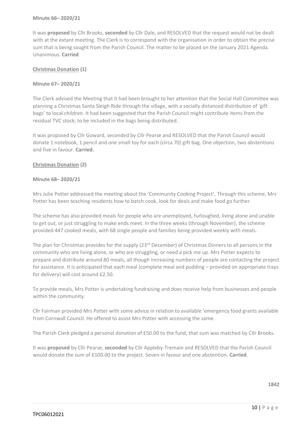#### **Minute 66– 2020/21**

It was **proposed** by Cllr Brooks, **seconded** by Cllr Dale, and RESOLVED that the request would not be dealt with at the extant meeting. The Clerk is to correspond with the organisation in order to obtain the precise sum that is being sought from the Parish Council. The matter to be placed on the January 2021 Agenda. Unanimous. **Carried**

#### **Christmas Donation (1)**

#### **Minute 67– 2020/21**

The Clerk advised the Meeting that it had been brought to her attention that the Social Hall Committee was planning a Christmas Santa Sleigh Ride through the village, with a socially distanced distribution of 'gift bags' to local children. It had been suggested that the Parish Council might contribute items from the residual TVC stock, to be included in the bags being distributed.

It was proposed by Cllr Goward, seconded by Cllr Pearse and RESOLVED that the Parish Council would donate 1 notebook, 1 pencil and one small toy for each (circa 70) gift bag. One objection, two abstentions and five in favour. **Carried.**

#### **Christmas Donation (2)**

#### **Minute 68– 2020/21**

Mrs Julie Potter addressed the meeting about the 'Community Cooking Project'. Through this scheme, Mrs Potter has been teaching residents how to batch cook, look for deals and make food go further.

The scheme has also provided meals for people who are unemployed, furloughed, living alone and unable to get out, or just struggling to make ends meet. In the three weeks (through November), the scheme provided 447 cooked meals, with 68 single people and families being provided weekly with meals.

The plan for Christmas provides for the supply (23<sup>rd</sup> December) of Christmas Dinners to all persons in the community who are living alone, or who are struggling, or need a pick me up. Mrs Potter expects to prepare and distribute around 80 meals, all though increasing numbers of people are contacting the project for assistance. It is anticipated that each meal (complete meal and pudding – provided on appropriate trays for delivery) will cost around £2.50.

To provide meals, Mrs Potter is undertaking fundraising and does receive help from businesses and people within the community.

Cllr Fairman provided Mrs Potter with some advice in relation to available 'emergency food grants available from Cornwall Council. He offered to assist Mrs Potter with accessing the same.

The Parish Clerk pledged a personal donation of £50.00 to the fund, that sum was matched by Cllr Brooks.

It was **proposed** by Cllr Pearse, **seconded** by Cllr Appleby-Tremain and RESOLVED that the Parish Council would donate the sum of £100.00 to the project. Seven in favour and one abstention. **Carried**.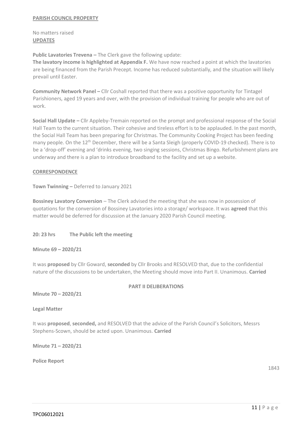#### **PARISH COUNCIL PROPERTY**

No matters raised **UPDATES**

**Public Lavatories Trevena –** The Clerk gave the following update:

**The lavatory income is highlighted at Appendix F.** We have now reached a point at which the lavatories are being financed from the Parish Precept. Income has reduced substantially, and the situation will likely prevail until Easter.

**Community Network Panel –** Cllr Coshall reported that there was a positive opportunity for Tintagel Parishioners, aged 19 years and over, with the provision of individual training for people who are out of work.

**Social Hall Update –** Cllr Appleby-Tremain reported on the prompt and professional response of the Social Hall Team to the current situation. Their cohesive and tireless effort is to be applauded. In the past month, the Social Hall Team has been preparing for Christmas. The Community Cooking Project has been feeding many people. On the 12<sup>th</sup> December, there will be a Santa Sleigh (properly COVID-19 checked). There is to be a 'drop-off' evening and 'drinks evening, two singing sessions, Christmas Bingo. Refurbishment plans are underway and there is a plan to introduce broadband to the facility and set up a website.

#### **CORRESPONDENCE**

**Town Twinning –** Deferred to January 2021

**Bossiney Lavatory Conversion** – The Clerk advised the meeting that she was now in possession of quotations for the conversion of Bossiney Lavatories into a storage/ workspace. It was **agreed** that this matter would be deferred for discussion at the January 2020 Parish Council meeting.

**20: 23 hrs The Public left the meeting**

**Minute 69 – 2020/21**

It was **proposed** by Cllr Goward, **seconded** by Cllr Brooks and RESOLVED that, due to the confidential nature of the discussions to be undertaken, the Meeting should move into Part II. Unanimous. **Carried**

#### **PART II DELIBERATIONS**

**Minute 70 – 2020/21**

**Legal Matter**

It was **proposed**, **seconded,** and RESOLVED that the advice of the Parish Council's Solicitors, Messrs Stephens-Scown, should be acted upon. Unanimous. **Carried**

**Minute 71 – 2020/21**

**Police Report**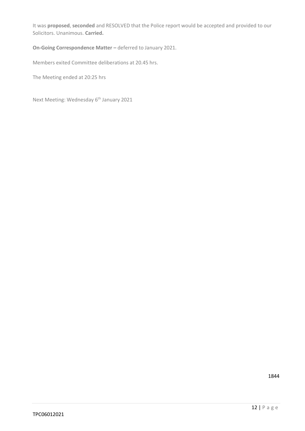It was **proposed**, **seconded** and RESOLVED that the Police report would be accepted and provided to our Solicitors. Unanimous. **Carried.**

## **On-Going Correspondence Matter –** deferred to January 2021.

Members exited Committee deliberations at 20.45 hrs.

The Meeting ended at 20:25 hrs

Next Meeting: Wednesday 6<sup>th</sup> January 2021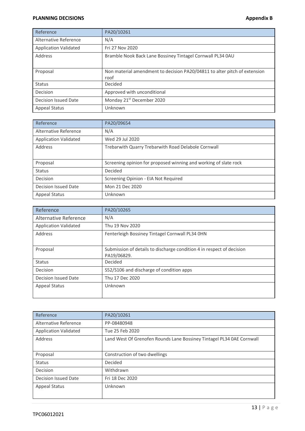#### **PLANNING DECISIONS Appendix B**

| Reference                    | PA20/10261                                                                        |
|------------------------------|-----------------------------------------------------------------------------------|
| Alternative Reference        | N/A                                                                               |
| <b>Application Validated</b> | Fri 27 Nov 2020                                                                   |
| Address                      | Bramble Nook Back Lane Bossiney Tintagel Cornwall PL34 0AU                        |
| Proposal                     | Non material amendment to decision PA20/04811 to alter pitch of extension<br>roof |
| <b>Status</b>                | Decided                                                                           |
| Decision                     | Approved with unconditional                                                       |
| Decision Issued Date         | Monday 21 <sup>st</sup> December 2020                                             |
| <b>Appeal Status</b>         | Unknown                                                                           |

| Reference                    | PA20/09654                                                       |
|------------------------------|------------------------------------------------------------------|
| Alternative Reference        | N/A                                                              |
| <b>Application Validated</b> | Wed 29 Jul 2020                                                  |
| Address                      | Trebarwith Quarry Trebarwith Road Delabole Cornwall              |
| Proposal                     | Screening opinion for proposed winning and working of slate rock |
| <b>Status</b>                | Decided                                                          |
| Decision                     | Screening Opinion - EIA Not Required                             |
| Decision Issued Date         | Mon 21 Dec 2020                                                  |
| <b>Appeal Status</b>         | Unknown                                                          |

| Reference                    | PA20/10265                                                                           |
|------------------------------|--------------------------------------------------------------------------------------|
| Alternative Reference        | N/A                                                                                  |
| <b>Application Validated</b> | Thu 19 Nov 2020                                                                      |
| Address                      | Fenterleigh Bossiney Tintagel Cornwall PL34 OHN                                      |
| Proposal                     | Submission of details to discharge condition 4 in respect of decision<br>PA19/06829. |
| <b>Status</b>                | Decided                                                                              |
| Decision                     | S52/S106 and discharge of condition apps                                             |
| <b>Decision Issued Date</b>  | Thu 17 Dec 2020                                                                      |
| <b>Appeal Status</b>         | Unknown                                                                              |

| Reference                    | PA20/10261                                                            |
|------------------------------|-----------------------------------------------------------------------|
| Alternative Reference        | PP-08480948                                                           |
| <b>Application Validated</b> | Tue 25 Feb 2020                                                       |
| Address                      | Land West Of Grenofen Rounds Lane Bossiney Tintagel PL34 0AE Cornwall |
| Proposal                     | Construction of two dwellings                                         |
| <b>Status</b>                | Decided                                                               |
| <b>Decision</b>              | Withdrawn                                                             |
| Decision Issued Date         | Fri 18 Dec 2020                                                       |
| <b>Appeal Status</b>         | Unknown                                                               |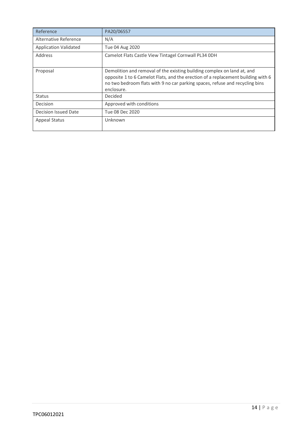| Reference                    | PA20/06557                                                                                                                                                                                                                                                |
|------------------------------|-----------------------------------------------------------------------------------------------------------------------------------------------------------------------------------------------------------------------------------------------------------|
| Alternative Reference        | N/A                                                                                                                                                                                                                                                       |
| <b>Application Validated</b> | Tue 04 Aug 2020                                                                                                                                                                                                                                           |
| Address                      | Camelot Flats Castle View Tintagel Cornwall PL34 0DH                                                                                                                                                                                                      |
| Proposal                     | Demolition and removal of the existing building complex on land at, and<br>opposite 1 to 6 Camelot Flats, and the erection of a replacement building with 6<br>no two bedroom flats with 9 no car parking spaces, refuse and recycling bins<br>enclosure. |
| <b>Status</b>                | Decided                                                                                                                                                                                                                                                   |
| Decision                     | Approved with conditions                                                                                                                                                                                                                                  |
| Decision Issued Date         | Tue 08 Dec 2020                                                                                                                                                                                                                                           |
| <b>Appeal Status</b>         | Unknown                                                                                                                                                                                                                                                   |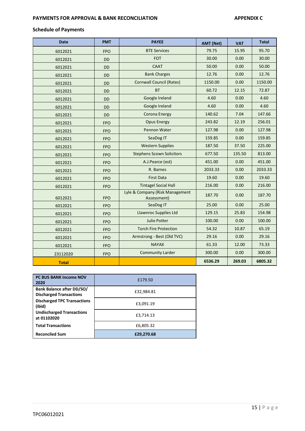#### **PAYMENTS FOR APPROVAL & BANK RECONCILIATION APPENDIX C**

## **Schedule of Payments**

| <b>Date</b>  | <b>PMT</b> | <b>PAYEE</b>                                   | <b>AMT (Net)</b> | <b>VAT</b> | <b>Total</b> |
|--------------|------------|------------------------------------------------|------------------|------------|--------------|
| 6012021      | <b>FPO</b> | <b>BTE Services</b>                            | 79.75            | 15.95      | 95.70        |
| 6012021      | <b>DD</b>  | <b>FOT</b>                                     | 30.00            | 0.00       | 30.00        |
| 6012021      | <b>DD</b>  | <b>CAAT</b>                                    | 50.00            | 0.00       | 50.00        |
| 6012021      | <b>DD</b>  | <b>Bank Charges</b>                            | 12.76            | 0.00       | 12.76        |
| 6012021      | <b>DD</b>  | <b>Cornwall Council (Rates)</b>                | 1150.00          | 0.00       | 1150.00      |
| 6012021      | <b>DD</b>  | <b>BT</b>                                      | 60.72            | 12.15      | 72.87        |
| 6012021      | <b>DD</b>  | Google Ireland                                 | 4.60             | 0.00       | 4.60         |
| 6012021      | <b>DD</b>  | Google Ireland                                 | 4.60             | 0.00       | 4.60         |
| 6012021      | <b>DD</b>  | Corona Energy                                  | 140.62           | 7.04       | 147.66       |
| 6012021      | <b>FPO</b> | <b>Opus Energy</b>                             | 243.82           | 12.19      | 256.01       |
| 6012021      | <b>FPO</b> | Pennon Water                                   | 127.98           | 0.00       | 127.98       |
| 6012021      | <b>FPO</b> | SeaDog IT                                      | 159.85           | 0.00       | 159.85       |
| 6012021      | <b>FPO</b> | <b>Western Supplies</b>                        | 187.50           | 37.50      | 225.00       |
| 6012021      | <b>FPO</b> | <b>Stephens Scown Solicitors</b>               | 677.50           | 135.50     | 813.00       |
| 6012021      | <b>FPO</b> | A.J.Pearce (est)                               | 451.00           | 0.00       | 451.00       |
| 6012021      | <b>FPO</b> | R. Barnes                                      | 2033.33          | 0.00       | 2033.33      |
| 6012021      | <b>FPO</b> | <b>First Data</b>                              | 19.60            | 0.00       | 19.60        |
| 6012021      | <b>FPO</b> | <b>Tintagel Social Hall</b>                    | 216.00           | 0.00       | 216.00       |
| 6012021      | <b>FPO</b> | Lyle & Company (Risk Management<br>Assessment) | 187.70           | 0.00       | 187.70       |
| 6012021      | <b>FPO</b> | SeaDog IT                                      | 25.00            | 0.00       | 25.00        |
| 6012021      | <b>FPO</b> | Llawnroc Supplies Ltd                          | 129.15           | 25.83      | 154.98       |
| 6012021      | <b>FPO</b> | <b>Julie Potter</b>                            | 100.00           | 0.00       | 100.00       |
| 6012021      | <b>FPO</b> | <b>Torch Fire Protection</b>                   | 54.32            | 10.87      | 65.19        |
| 6012021      | <b>FPO</b> | Armstrong - Best (Old TVC)                     | 29.16            | 0.00       | 29.16        |
| 6012021      | <b>FPO</b> | <b>NAYAX</b>                                   | 61.33            | 12.00      | 73.33        |
| 23112020     | <b>FPO</b> | <b>Community Larder</b>                        | 300.00           | 0.00       | 300.00       |
| <b>Total</b> |            |                                                | 6536.29          | 269.03     | 6805.32      |

| <b>PC BUS BANK Income NOV</b><br>2020                       | £179.50    |
|-------------------------------------------------------------|------------|
| Bank Balance after DD/SO/<br><b>Discharged Transactions</b> | £32,984.81 |
| <b>Discharged TPC Transactions</b><br>(ibid)                | £3,091.19  |
| <b>Undischarged Transactions</b><br>at 01102020             | £3,714.13  |
| <b>Total Transactions</b>                                   | £6,805.32  |
| <b>Reconciled Sum</b>                                       | £29,270.68 |